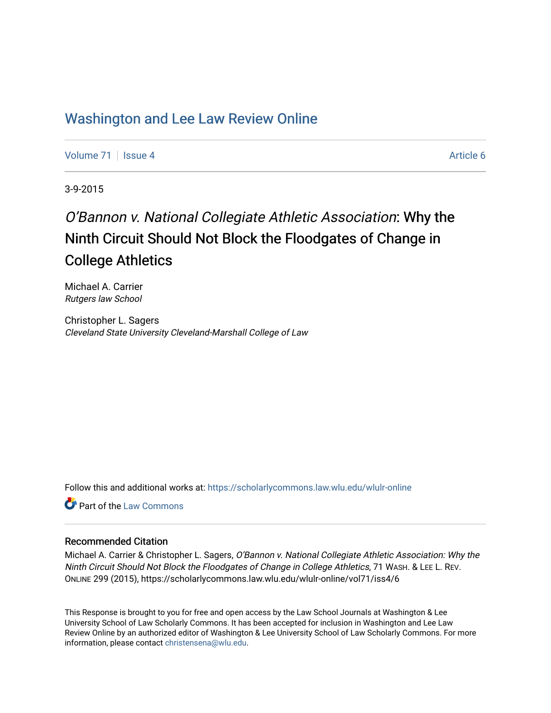# [Washington and Lee Law Review Online](https://scholarlycommons.law.wlu.edu/wlulr-online)

[Volume 71](https://scholarlycommons.law.wlu.edu/wlulr-online/vol71) | [Issue 4](https://scholarlycommons.law.wlu.edu/wlulr-online/vol71/iss4) Article 6

3-9-2015

# O'Bannon v. National Collegiate Athletic Association: Why the Ninth Circuit Should Not Block the Floodgates of Change in College Athletics

Michael A. Carrier Rutgers law School

Christopher L. Sagers Cleveland State University Cleveland-Marshall College of Law

Follow this and additional works at: [https://scholarlycommons.law.wlu.edu/wlulr-online](https://scholarlycommons.law.wlu.edu/wlulr-online?utm_source=scholarlycommons.law.wlu.edu%2Fwlulr-online%2Fvol71%2Fiss4%2F6&utm_medium=PDF&utm_campaign=PDFCoverPages) 

Part of the [Law Commons](http://network.bepress.com/hgg/discipline/578?utm_source=scholarlycommons.law.wlu.edu%2Fwlulr-online%2Fvol71%2Fiss4%2F6&utm_medium=PDF&utm_campaign=PDFCoverPages)

# Recommended Citation

Michael A. Carrier & Christopher L. Sagers, O'Bannon v. National Collegiate Athletic Association: Why the Ninth Circuit Should Not Block the Floodgates of Change in College Athletics, 71 WASH. & LEE L. REV. ONLINE 299 (2015), https://scholarlycommons.law.wlu.edu/wlulr-online/vol71/iss4/6

This Response is brought to you for free and open access by the Law School Journals at Washington & Lee University School of Law Scholarly Commons. It has been accepted for inclusion in Washington and Lee Law Review Online by an authorized editor of Washington & Lee University School of Law Scholarly Commons. For more information, please contact [christensena@wlu.edu](mailto:christensena@wlu.edu).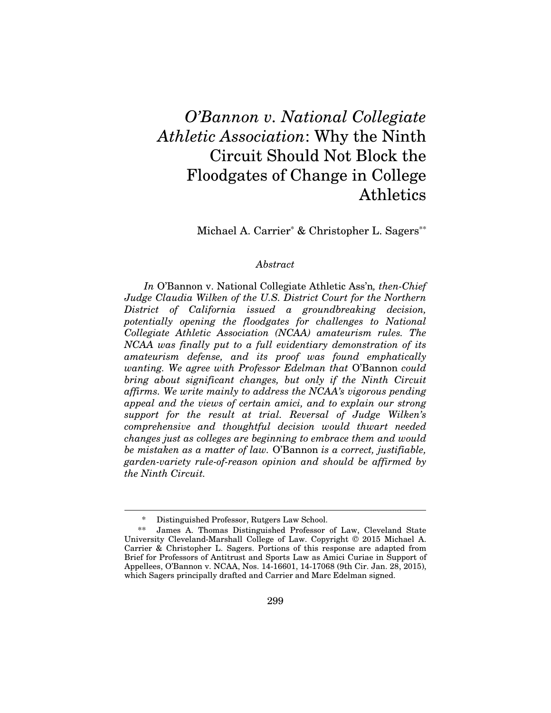# *O'Bannon v. National Collegiate Athletic Association*: Why the Ninth Circuit Should Not Block the Floodgates of Change in College Athletics

Michael A. Carrier<sup>\*</sup> & Christopher L. Sagers<sup>\*\*</sup>

#### *Abstract*

*In* O'Bannon v. National Collegiate Athletic Ass'n*, then-Chief Judge Claudia Wilken of the U.S. District Court for the Northern District of California issued a groundbreaking decision, potentially opening the floodgates for challenges to National Collegiate Athletic Association (NCAA) amateurism rules. The NCAA was finally put to a full evidentiary demonstration of its amateurism defense, and its proof was found emphatically wanting. We agree with Professor Edelman that* O'Bannon *could bring about significant changes, but only if the Ninth Circuit affirms. We write mainly to address the NCAA's vigorous pending appeal and the views of certain amici, and to explain our strong support for the result at trial. Reversal of Judge Wilken's comprehensive and thoughtful decision would thwart needed changes just as colleges are beginning to embrace them and would be mistaken as a matter of law.* O'Bannon *is a correct, justifiable, garden-variety rule-of-reason opinion and should be affirmed by the Ninth Circuit.* 

Distinguished Professor, Rutgers Law School.

 <sup>\*\*</sup> James A. Thomas Distinguished Professor of Law, Cleveland State University Cleveland-Marshall College of Law. Copyright © 2015 Michael A. Carrier & Christopher L. Sagers. Portions of this response are adapted from Brief for Professors of Antitrust and Sports Law as Amici Curiae in Support of Appellees, O'Bannon v. NCAA, Nos. 14-16601, 14-17068 (9th Cir. Jan. 28, 2015), which Sagers principally drafted and Carrier and Marc Edelman signed.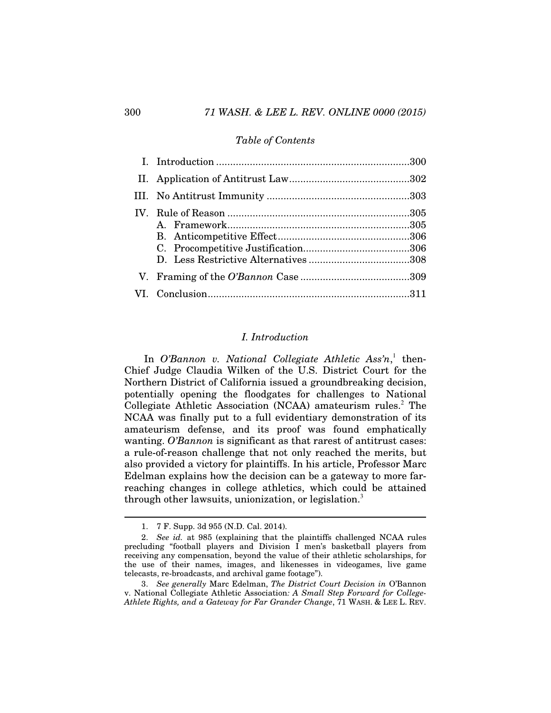#### *Table of Contents*

# *I. Introduction*

In *O'Bannon v. National Collegiate Athletic Ass'n*,<sup>1</sup> then-Chief Judge Claudia Wilken of the U.S. District Court for the Northern District of California issued a groundbreaking decision, potentially opening the floodgates for challenges to National Collegiate Athletic Association (NCAA) amateurism rules.<sup>2</sup> The NCAA was finally put to a full evidentiary demonstration of its amateurism defense, and its proof was found emphatically wanting. *O'Bannon* is significant as that rarest of antitrust cases: a rule-of-reason challenge that not only reached the merits, but also provided a victory for plaintiffs. In his article, Professor Marc Edelman explains how the decision can be a gateway to more farreaching changes in college athletics, which could be attained through other lawsuits, unionization, or legislation.<sup>3</sup>

 <sup>1. 7</sup> F. Supp. 3d 955 (N.D. Cal. 2014).

 <sup>2.</sup> *See id.* at 985 (explaining that the plaintiffs challenged NCAA rules precluding "football players and Division I men's basketball players from receiving any compensation, beyond the value of their athletic scholarships, for the use of their names, images, and likenesses in videogames, live game telecasts, re-broadcasts, and archival game footage").

 <sup>3.</sup> *See generally* Marc Edelman, *The District Court Decision in* O'Bannon v. National Collegiate Athletic Association*: A Small Step Forward for College-Athlete Rights, and a Gateway for Far Grander Change*, 71 WASH. & LEE L. REV.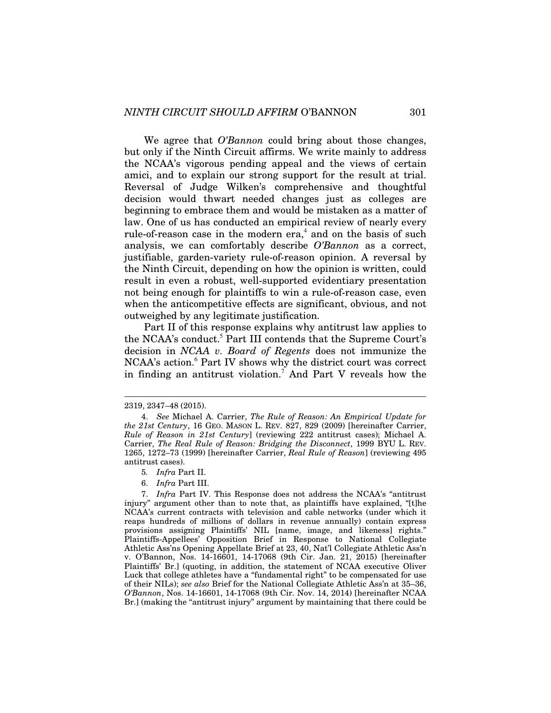We agree that *O'Bannon* could bring about those changes, but only if the Ninth Circuit affirms. We write mainly to address the NCAA's vigorous pending appeal and the views of certain amici, and to explain our strong support for the result at trial. Reversal of Judge Wilken's comprehensive and thoughtful decision would thwart needed changes just as colleges are beginning to embrace them and would be mistaken as a matter of law. One of us has conducted an empirical review of nearly every rule-of-reason case in the modern  $era^4$  and on the basis of such analysis, we can comfortably describe *O'Bannon* as a correct, justifiable, garden-variety rule-of-reason opinion. A reversal by the Ninth Circuit, depending on how the opinion is written, could result in even a robust, well-supported evidentiary presentation not being enough for plaintiffs to win a rule-of-reason case, even when the anticompetitive effects are significant, obvious, and not outweighed by any legitimate justification.

Part II of this response explains why antitrust law applies to the NCAA's conduct.<sup>5</sup> Part III contends that the Supreme Court's decision in *NCAA v. Board of Regents* does not immunize the NCAA's action.<sup>6</sup> Part IV shows why the district court was correct in finding an antitrust violation.<sup>7</sup> And Part V reveals how the

- 5*. Infra* Part II.
- 6. *Infra* Part III.

<sup>2319, 2347–48 (2015).</sup> 

 <sup>4.</sup> *See* Michael A. Carrier, *The Rule of Reason: An Empirical Update for the 21st Century*, 16 GEO. MASON L. REV. 827, 829 (2009) [hereinafter Carrier, *Rule of Reason in 21st Century*] (reviewing 222 antitrust cases); Michael A. Carrier, *The Real Rule of Reason: Bridging the Disconnect*, 1999 BYU L. REV. 1265, 1272–73 (1999) [hereinafter Carrier, *Real Rule of Reason*] (reviewing 495 antitrust cases).

 <sup>7.</sup> *Infra* Part IV. This Response does not address the NCAA's "antitrust injury" argument other than to note that, as plaintiffs have explained, "[t]he NCAA's current contracts with television and cable networks (under which it reaps hundreds of millions of dollars in revenue annually) contain express provisions assigning Plaintiffs' NIL [name, image, and likeness] rights." Plaintiffs-Appellees' Opposition Brief in Response to National Collegiate Athletic Ass'ns Opening Appellate Brief at 23, 40, Nat'l Collegiate Athletic Ass'n v. O'Bannon, Nos. 14-16601, 14-17068 (9th Cir. Jan. 21, 2015) [hereinafter Plaintiffs' Br.] (quoting, in addition, the statement of NCAA executive Oliver Luck that college athletes have a "fundamental right" to be compensated for use of their NILs); *see also* Brief for the National Collegiate Athletic Ass'n at 35–36, *O'Bannon*, Nos. 14-16601, 14-17068 (9th Cir. Nov. 14, 2014) [hereinafter NCAA Br.] (making the "antitrust injury" argument by maintaining that there could be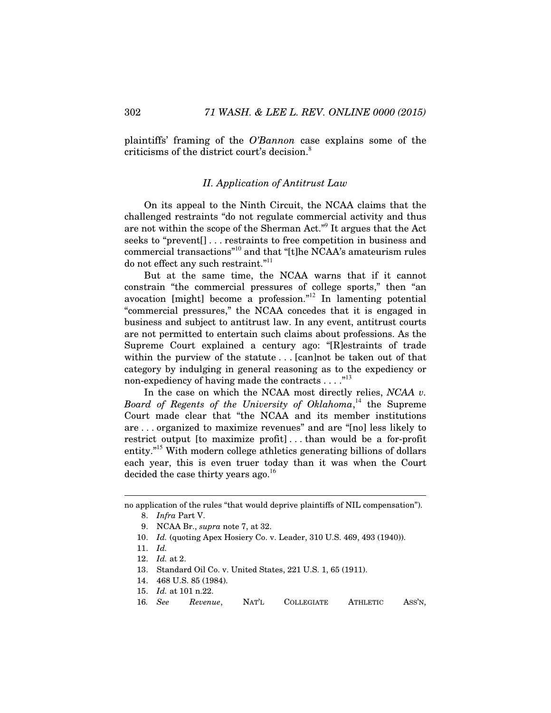plaintiffs' framing of the *O'Bannon* case explains some of the criticisms of the district court's decision.<sup>8</sup>

# *II. Application of Antitrust Law*

On its appeal to the Ninth Circuit, the NCAA claims that the challenged restraints "do not regulate commercial activity and thus are not within the scope of the Sherman Act."<sup>9</sup> It argues that the Act seeks to "prevent[] . . . restraints to free competition in business and commercial transactions"<sup>10</sup> and that "[t]he NCAA's amateurism rules do not effect any such restraint."<sup>11</sup>

But at the same time, the NCAA warns that if it cannot constrain "the commercial pressures of college sports," then "an avocation [might] become a profession."<sup>12</sup> In lamenting potential "commercial pressures," the NCAA concedes that it is engaged in business and subject to antitrust law. In any event, antitrust courts are not permitted to entertain such claims about professions. As the Supreme Court explained a century ago: "[R]estraints of trade within the purview of the statute . . . [can]not be taken out of that category by indulging in general reasoning as to the expediency or non-expediency of having made the contracts . . . . "<sup>13</sup>

In the case on which the NCAA most directly relies, *NCAA v. Board of Regents of the University of Oklahoma*, <sup>14</sup> the Supreme Court made clear that "the NCAA and its member institutions are . . . organized to maximize revenues" and are "[no] less likely to restrict output [to maximize profit] . . . than would be a for-profit entity."<sup>15</sup> With modern college athletics generating billions of dollars each year, this is even truer today than it was when the Court decided the case thirty years ago.<sup>16</sup>

no application of the rules "that would deprive plaintiffs of NIL compensation"). 8. *Infra* Part V.

 <sup>9.</sup> NCAA Br., *supra* note 7, at 32.

 <sup>10.</sup> *Id.* (quoting Apex Hosiery Co. v. Leader, 310 U.S. 469, 493 (1940)).

 <sup>11.</sup> *Id.*

 <sup>12.</sup> *Id.* at 2.

 <sup>13.</sup> Standard Oil Co. v. United States, 221 U.S. 1, 65 (1911).

 <sup>14. 468</sup> U.S. 85 (1984).

 <sup>15.</sup> *Id.* at 101 n.22.

<sup>16</sup>*. See Revenue*, NAT'L COLLEGIATE ATHLETIC ASS'N,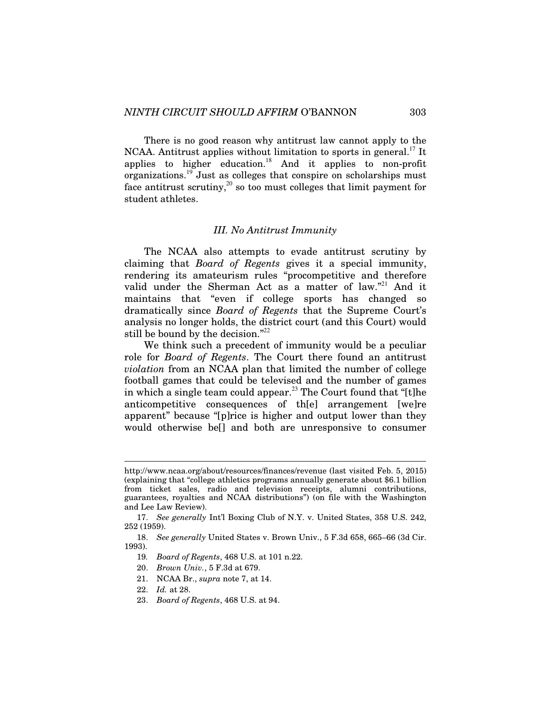There is no good reason why antitrust law cannot apply to the  $NCAA$ . Antitrust applies without limitation to sports in general.<sup>17</sup> It applies to higher education.<sup>18</sup> And it applies to non-profit organizations.<sup>19</sup> Just as colleges that conspire on scholarships must face antitrust scrutiny,<sup>20</sup> so too must colleges that limit payment for student athletes.

#### *III. No Antitrust Immunity*

The NCAA also attempts to evade antitrust scrutiny by claiming that *Board of Regents* gives it a special immunity, rendering its amateurism rules "procompetitive and therefore valid under the Sherman Act as a matter of law."<sup>21</sup> And it maintains that "even if college sports has changed so dramatically since *Board of Regents* that the Supreme Court's analysis no longer holds, the district court (and this Court) would still be bound by the decision." $22$ 

We think such a precedent of immunity would be a peculiar role for *Board of Regents*. The Court there found an antitrust *violation* from an NCAA plan that limited the number of college football games that could be televised and the number of games in which a single team could appear.<sup>23</sup> The Court found that "[t]he anticompetitive consequences of th[e] arrangement [we]re apparent" because "[p]rice is higher and output lower than they would otherwise be[] and both are unresponsive to consumer

- 20. *Brown Univ.*, 5 F.3d at 679.
- 21. NCAA Br., *supra* note 7, at 14.
- 22. *Id.* at 28.

l

23. *Board of Regents*, 468 U.S. at 94.

http://www.ncaa.org/about/resources/finances/revenue (last visited Feb. 5, 2015) (explaining that "college athletics programs annually generate about \$6.1 billion from ticket sales, radio and television receipts, alumni contributions, guarantees, royalties and NCAA distributions") (on file with the Washington and Lee Law Review).

 <sup>17.</sup> *See generally* Int'l Boxing Club of N.Y. v. United States, 358 U.S. 242, 252 (1959).

 <sup>18.</sup> *See generally* United States v. Brown Univ., 5 F.3d 658, 665–66 (3d Cir. 1993).

<sup>19</sup>*. Board of Regents*, 468 U.S. at 101 n.22.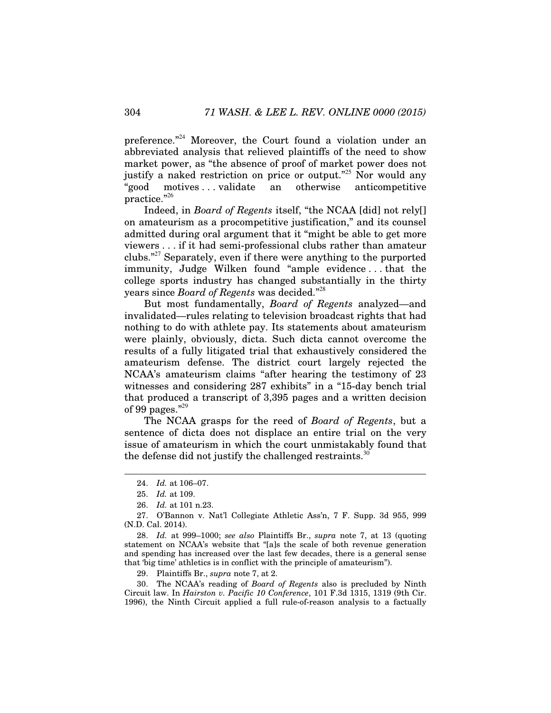preference."<sup>24</sup> Moreover, the Court found a violation under an abbreviated analysis that relieved plaintiffs of the need to show market power, as "the absence of proof of market power does not justify a naked restriction on price or output."<sup>25</sup> Nor would any "good motives . . . validate an otherwise anticompetitive practice."<sup>26</sup>

Indeed, in *Board of Regents* itself, "the NCAA [did] not rely[] on amateurism as a procompetitive justification," and its counsel admitted during oral argument that it "might be able to get more viewers . . . if it had semi-professional clubs rather than amateur clubs."<sup>27</sup> Separately, even if there were anything to the purported immunity, Judge Wilken found "ample evidence . . . that the college sports industry has changed substantially in the thirty years since *Board of Regents* was decided."<sup>28</sup>

But most fundamentally, *Board of Regents* analyzed—and invalidated—rules relating to television broadcast rights that had nothing to do with athlete pay. Its statements about amateurism were plainly, obviously, dicta. Such dicta cannot overcome the results of a fully litigated trial that exhaustively considered the amateurism defense. The district court largely rejected the NCAA's amateurism claims "after hearing the testimony of 23 witnesses and considering 287 exhibits" in a "15-day bench trial that produced a transcript of 3,395 pages and a written decision of 99 pages. $"^{29}$ 

The NCAA grasps for the reed of *Board of Regents*, but a sentence of dicta does not displace an entire trial on the very issue of amateurism in which the court unmistakably found that the defense did not justify the challenged restraints.<sup>30</sup>

 $\overline{a}$ 

 28. *Id.* at 999–1000; *see also* Plaintiffs Br., *supra* note 7, at 13 (quoting statement on NCAA's website that "[a]s the scale of both revenue generation and spending has increased over the last few decades, there is a general sense that 'big time' athletics is in conflict with the principle of amateurism").

29. Plaintiffs Br., *supra* note 7, at 2.

 30. The NCAA's reading of *Board of Regents* also is precluded by Ninth Circuit law. In *Hairston v. Pacific 10 Conference*, 101 F.3d 1315, 1319 (9th Cir. 1996), the Ninth Circuit applied a full rule-of-reason analysis to a factually

 <sup>24.</sup> *Id.* at 106–07.

 <sup>25.</sup> *Id.* at 109.

 <sup>26.</sup> *Id.* at 101 n.23.

 <sup>27.</sup> O'Bannon v. Nat'l Collegiate Athletic Ass'n, 7 F. Supp. 3d 955, 999 (N.D. Cal. 2014).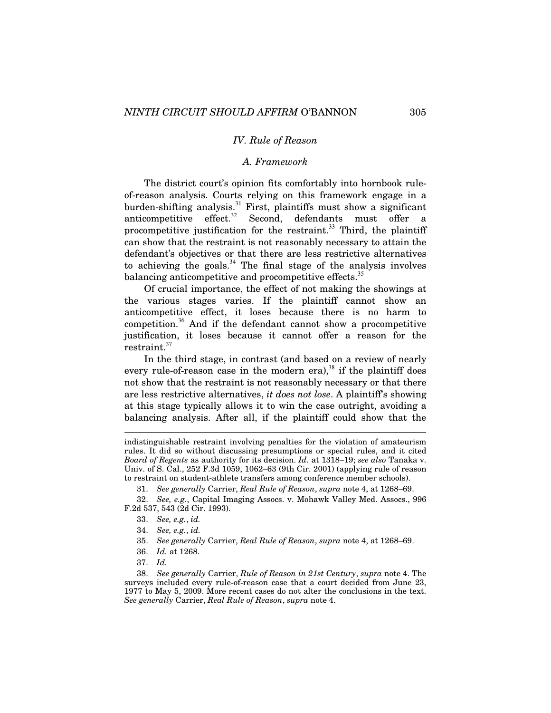# *IV. Rule of Reason*

#### *A. Framework*

The district court's opinion fits comfortably into hornbook ruleof-reason analysis. Courts relying on this framework engage in a burden-shifting analysis.<sup>31</sup> First, plaintiffs must show a significant anticompetitive effect. $32$  Second, defendants must offer a procompetitive justification for the restraint.<sup>33</sup> Third, the plaintiff can show that the restraint is not reasonably necessary to attain the defendant's objectives or that there are less restrictive alternatives to achieving the goals.<sup>34</sup> The final stage of the analysis involves balancing anticompetitive and procompetitive effects. $35$ 

Of crucial importance, the effect of not making the showings at the various stages varies. If the plaintiff cannot show an anticompetitive effect, it loses because there is no harm to competition.<sup>36</sup> And if the defendant cannot show a procompetitive justification, it loses because it cannot offer a reason for the restraint.<sup>37</sup>

In the third stage, in contrast (and based on a review of nearly every rule-of-reason case in the modern era),<sup>38</sup> if the plaintiff does not show that the restraint is not reasonably necessary or that there are less restrictive alternatives, *it does not lose*. A plaintiff's showing at this stage typically allows it to win the case outright, avoiding a balancing analysis. After all, if the plaintiff could show that the

indistinguishable restraint involving penalties for the violation of amateurism rules. It did so without discussing presumptions or special rules, and it cited *Board of Regents* as authority for its decision. *Id.* at 1318–19; *see also* Tanaka v. Univ. of S. Cal., 252 F.3d 1059, 1062–63 (9th Cir. 2001) (applying rule of reason to restraint on student-athlete transfers among conference member schools).

 <sup>31.</sup> *See generally* Carrier, *Real Rule of Reason*, *supra* note 4, at 1268–69.

 <sup>32.</sup> *See, e.g.*, Capital Imaging Assocs. v. Mohawk Valley Med. Assocs., 996 F.2d 537, 543 (2d Cir. 1993).

 <sup>33.</sup> *See, e.g.*, *id.*

 <sup>34.</sup> *See, e.g.*, *id.*

 <sup>35.</sup> *See generally* Carrier, *Real Rule of Reason*, *supra* note 4, at 1268–69.

 <sup>36.</sup> *Id.* at 1268.

 <sup>37.</sup> *Id.*

 <sup>38.</sup> *See generally* Carrier, *Rule of Reason in 21st Century*, *supra* note 4. The surveys included every rule-of-reason case that a court decided from June 23, 1977 to May 5, 2009. More recent cases do not alter the conclusions in the text. *See generally* Carrier, *Real Rule of Reason*, *supra* note 4.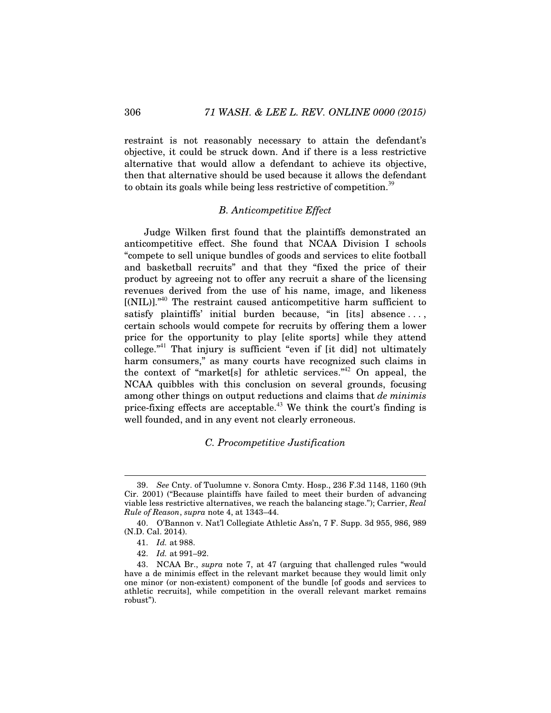restraint is not reasonably necessary to attain the defendant's objective, it could be struck down. And if there is a less restrictive alternative that would allow a defendant to achieve its objective, then that alternative should be used because it allows the defendant to obtain its goals while being less restrictive of competition.<sup>39</sup>

### *B. Anticompetitive Effect*

Judge Wilken first found that the plaintiffs demonstrated an anticompetitive effect. She found that NCAA Division I schools "compete to sell unique bundles of goods and services to elite football and basketball recruits" and that they "fixed the price of their product by agreeing not to offer any recruit a share of the licensing revenues derived from the use of his name, image, and likeness [(NIL)]."<sup>40</sup> The restraint caused anticompetitive harm sufficient to satisfy plaintiffs' initial burden because, "in [its] absence ..., certain schools would compete for recruits by offering them a lower price for the opportunity to play [elite sports] while they attend  $\text{collecting}^{\text{1}}$  That injury is sufficient "even if [it did] not ultimately harm consumers," as many courts have recognized such claims in the context of "market<sup>[s]</sup> for athletic services."<sup>42</sup> On appeal, the NCAA quibbles with this conclusion on several grounds, focusing among other things on output reductions and claims that *de minimis* price-fixing effects are acceptable.<sup>43</sup> We think the court's finding is well founded, and in any event not clearly erroneous.

### *C. Procompetitive Justification*

 <sup>39.</sup> *See* Cnty. of Tuolumne v. Sonora Cmty. Hosp., 236 F.3d 1148, 1160 (9th Cir. 2001) ("Because plaintiffs have failed to meet their burden of advancing viable less restrictive alternatives, we reach the balancing stage."); Carrier, *Real Rule of Reason*, *supra* note 4, at 1343–44.

 <sup>40.</sup> O'Bannon v. Nat'l Collegiate Athletic Ass'n, 7 F. Supp. 3d 955, 986, 989 (N.D. Cal. 2014).

 <sup>41.</sup> *Id.* at 988.

 <sup>42.</sup> *Id.* at 991–92.

 <sup>43.</sup> NCAA Br., *supra* note 7, at 47 (arguing that challenged rules "would have a de minimis effect in the relevant market because they would limit only one minor (or non-existent) component of the bundle [of goods and services to athletic recruits], while competition in the overall relevant market remains robust").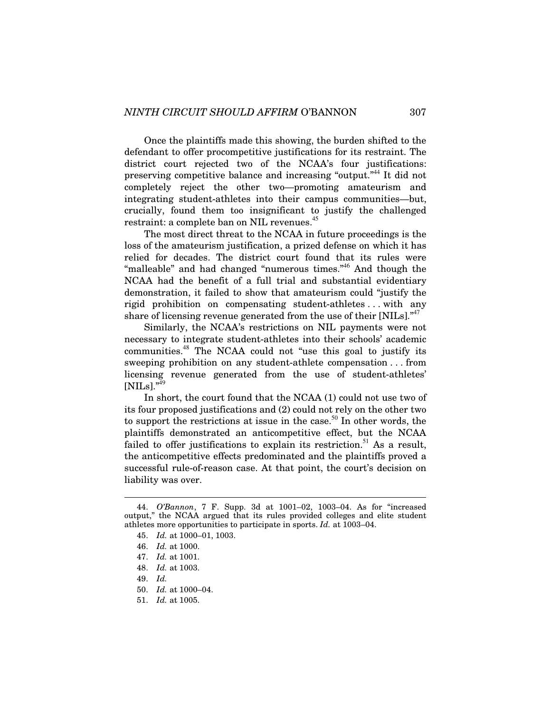Once the plaintiffs made this showing, the burden shifted to the defendant to offer procompetitive justifications for its restraint. The district court rejected two of the NCAA's four justifications: preserving competitive balance and increasing "output."<sup>44</sup> It did not completely reject the other two—promoting amateurism and integrating student-athletes into their campus communities—but, crucially, found them too insignificant to justify the challenged restraint: a complete ban on NIL revenues.<sup>45</sup>

The most direct threat to the NCAA in future proceedings is the loss of the amateurism justification, a prized defense on which it has relied for decades. The district court found that its rules were "malleable" and had changed "numerous times."<sup>46</sup> And though the NCAA had the benefit of a full trial and substantial evidentiary demonstration, it failed to show that amateurism could "justify the rigid prohibition on compensating student-athletes . . . with any share of licensing revenue generated from the use of their  $[NILs]$ .<sup> $47$ </sup>

Similarly, the NCAA's restrictions on NIL payments were not necessary to integrate student-athletes into their schools' academic communities.<sup>48</sup> The NCAA could not "use this goal to justify its sweeping prohibition on any student-athlete compensation . . . from licensing revenue generated from the use of student-athletes'  $[NILs].$ <sup> $n49$ </sup>

In short, the court found that the NCAA (1) could not use two of its four proposed justifications and (2) could not rely on the other two to support the restrictions at issue in the case.<sup>50</sup> In other words, the plaintiffs demonstrated an anticompetitive effect, but the NCAA failed to offer justifications to explain its restriction.<sup>51</sup> As a result, the anticompetitive effects predominated and the plaintiffs proved a successful rule-of-reason case. At that point, the court's decision on liability was over.

 <sup>44.</sup> *O'Bannon*, 7 F. Supp. 3d at 1001–02, 1003–04. As for "increased output," the NCAA argued that its rules provided colleges and elite student athletes more opportunities to participate in sports. *Id.* at 1003–04.

 <sup>45.</sup> *Id.* at 1000–01, 1003.

 <sup>46.</sup> *Id.* at 1000.

 <sup>47.</sup> *Id.* at 1001.

 <sup>48.</sup> *Id.* at 1003.

 <sup>49.</sup> *Id.*

 <sup>50.</sup> *Id.* at 1000–04.

 <sup>51.</sup> *Id.* at 1005.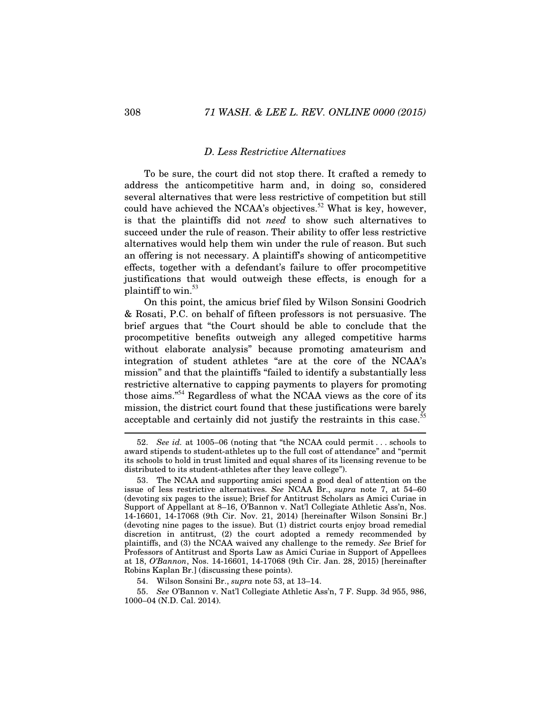#### *D. Less Restrictive Alternatives*

To be sure, the court did not stop there. It crafted a remedy to address the anticompetitive harm and, in doing so, considered several alternatives that were less restrictive of competition but still could have achieved the NCAA's objectives.<sup>52</sup> What is key, however, is that the plaintiffs did not *need* to show such alternatives to succeed under the rule of reason. Their ability to offer less restrictive alternatives would help them win under the rule of reason. But such an offering is not necessary. A plaintiff's showing of anticompetitive effects, together with a defendant's failure to offer procompetitive justifications that would outweigh these effects, is enough for a plaintiff to win. $53$ 

On this point, the amicus brief filed by Wilson Sonsini Goodrich & Rosati, P.C. on behalf of fifteen professors is not persuasive. The brief argues that "the Court should be able to conclude that the procompetitive benefits outweigh any alleged competitive harms without elaborate analysis" because promoting amateurism and integration of student athletes "are at the core of the NCAA's mission" and that the plaintiffs "failed to identify a substantially less restrictive alternative to capping payments to players for promoting those aims."<sup>54</sup> Regardless of what the NCAA views as the core of its mission, the district court found that these justifications were barely acceptable and certainly did not justify the restraints in this case.<sup>5</sup>

 <sup>52.</sup> *See id.* at 1005–06 (noting that "the NCAA could permit . . . schools to award stipends to student-athletes up to the full cost of attendance" and "permit its schools to hold in trust limited and equal shares of its licensing revenue to be distributed to its student-athletes after they leave college").

The NCAA and supporting amici spend a good deal of attention on the issue of less restrictive alternatives. *See* NCAA Br., *supra* note 7, at 54–60 (devoting six pages to the issue); Brief for Antitrust Scholars as Amici Curiae in Support of Appellant at 8–16, O'Bannon v. Nat'l Collegiate Athletic Ass'n, Nos. 14-16601, 14-17068 (9th Cir. Nov. 21, 2014) [hereinafter Wilson Sonsini Br.] (devoting nine pages to the issue). But (1) district courts enjoy broad remedial discretion in antitrust, (2) the court adopted a remedy recommended by plaintiffs, and (3) the NCAA waived any challenge to the remedy. *See* Brief for Professors of Antitrust and Sports Law as Amici Curiae in Support of Appellees at 18, *O'Bannon*, Nos. 14-16601, 14-17068 (9th Cir. Jan. 28, 2015) [hereinafter Robins Kaplan Br.] (discussing these points).

 <sup>54.</sup> Wilson Sonsini Br., *supra* note 53, at 13–14.

 <sup>55.</sup> *See* O'Bannon v. Nat'l Collegiate Athletic Ass'n, 7 F. Supp. 3d 955, 986, 1000–04 (N.D. Cal. 2014).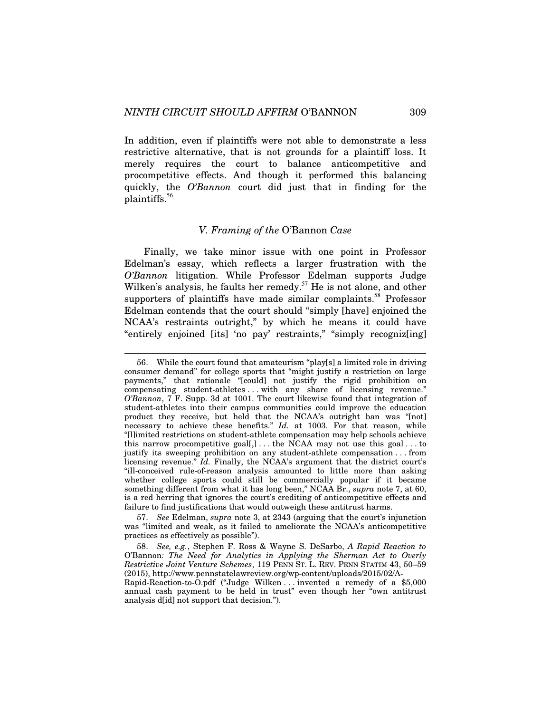l

In addition, even if plaintiffs were not able to demonstrate a less restrictive alternative, that is not grounds for a plaintiff loss. It merely requires the court to balance anticompetitive and procompetitive effects. And though it performed this balancing quickly, the *O'Bannon* court did just that in finding for the plaintiffs.<sup>56</sup>

#### *V. Framing of the* O'Bannon *Case*

Finally, we take minor issue with one point in Professor Edelman's essay, which reflects a larger frustration with the *O'Bannon* litigation. While Professor Edelman supports Judge Wilken's analysis, he faults her remedy.<sup>57</sup> He is not alone, and other supporters of plaintiffs have made similar complaints.<sup>58</sup> Professor Edelman contends that the court should "simply [have] enjoined the NCAA's restraints outright," by which he means it could have "entirely enjoined [its] 'no pay' restraints," "simply recogniz[ing]

 57. *See* Edelman, *supra* note 3, at 2343 (arguing that the court's injunction was "limited and weak, as it failed to ameliorate the NCAA's anticompetitive practices as effectively as possible").

 58. *See, e.g.*, Stephen F. Ross & Wayne S. DeSarbo, *A Rapid Reaction to*  O'Bannon*: The Need for Analytics in Applying the Sherman Act to Overly Restrictive Joint Venture Schemes*, 119 PENN ST. L. REV. PENN STATIM 43, 50–59 (2015), http://www.pennstatelawreview.org/wp-content/uploads/2015/02/A-

Rapid-Reaction-to-O.pdf ("Judge Wilken . . . invented a remedy of a \$5,000 annual cash payment to be held in trust" even though her "own antitrust analysis d[id] not support that decision.").

 <sup>56.</sup> While the court found that amateurism "play[s] a limited role in driving consumer demand" for college sports that "might justify a restriction on large payments," that rationale "[could] not justify the rigid prohibition on compensating student-athletes . . . with any share of licensing revenue." *O'Bannon*, 7 F. Supp. 3d at 1001. The court likewise found that integration of student-athletes into their campus communities could improve the education product they receive, but held that the NCAA's outright ban was "[not] necessary to achieve these benefits." *Id.* at 1003. For that reason, while "[l]imited restrictions on student-athlete compensation may help schools achieve this narrow procompetitive goal[,]... the NCAA may not use this goal... to justify its sweeping prohibition on any student-athlete compensation . . . from licensing revenue." *Id.* Finally, the NCAA's argument that the district court's "ill-conceived rule-of-reason analysis amounted to little more than asking whether college sports could still be commercially popular if it became something different from what it has long been," NCAA Br., *supra* note 7, at 60, is a red herring that ignores the court's crediting of anticompetitive effects and failure to find justifications that would outweigh these antitrust harms.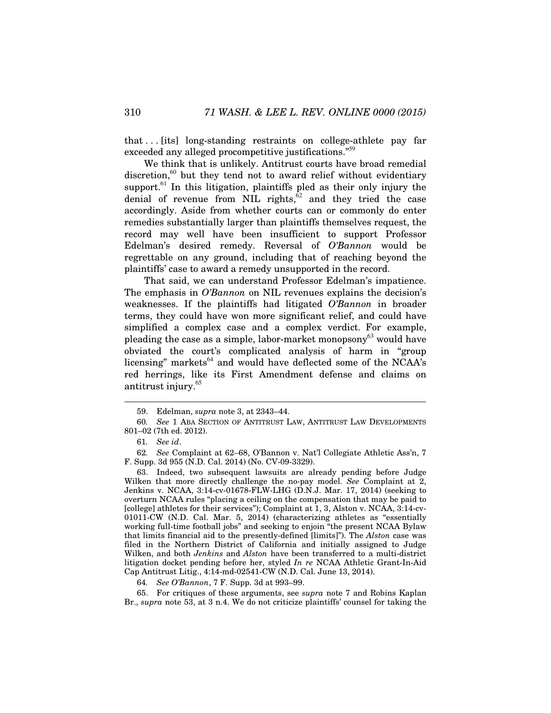that . . . [its] long-standing restraints on college-athlete pay far exceeded any alleged procompetitive justifications."<sup>59</sup>

We think that is unlikely. Antitrust courts have broad remedial discretion,<sup>60</sup> but they tend not to award relief without evidentiary support. $61$  In this litigation, plaintiffs pled as their only injury the denial of revenue from NIL rights, $\tilde{6}^2$  and they tried the case accordingly. Aside from whether courts can or commonly do enter remedies substantially larger than plaintiffs themselves request, the record may well have been insufficient to support Professor Edelman's desired remedy. Reversal of *O'Bannon* would be regrettable on any ground, including that of reaching beyond the plaintiffs' case to award a remedy unsupported in the record.

That said, we can understand Professor Edelman's impatience. The emphasis in *O'Bannon* on NIL revenues explains the decision's weaknesses. If the plaintiffs had litigated *O'Bannon* in broader terms, they could have won more significant relief, and could have simplified a complex case and a complex verdict. For example, pleading the case as a simple, labor-market monopsony<sup>63</sup> would have obviated the court's complicated analysis of harm in "group licensing" markets $^{64}$  and would have deflected some of the NCAA's red herrings, like its First Amendment defense and claims on antitrust injury.<sup>65</sup>

l

62*. See* Complaint at 62–68, O'Bannon v. Nat'l Collegiate Athletic Ass'n, 7 F. Supp. 3d 955 (N.D. Cal. 2014) (No. CV-09-3329).

 63. Indeed, two subsequent lawsuits are already pending before Judge Wilken that more directly challenge the no-pay model. *See* Complaint at 2, Jenkins v. NCAA, 3:14-cv-01678-FLW-LHG (D.N.J. Mar. 17, 2014) (seeking to overturn NCAA rules "placing a ceiling on the compensation that may be paid to [college] athletes for their services"); Complaint at 1, 3, Alston v. NCAA, 3:14-cv-01011-CW (N.D. Cal. Mar. 5, 2014) (characterizing athletes as "essentially working full-time football jobs" and seeking to enjoin "the present NCAA Bylaw that limits financial aid to the presently-defined [limits]"). The *Alston* case was filed in the Northern District of California and initially assigned to Judge Wilken, and both *Jenkins* and *Alston* have been transferred to a multi-district litigation docket pending before her, styled *In re* NCAA Athletic Grant-In-Aid Cap Antitrust Litig., 4:14-md-02541-CW (N.D. Cal. June 13, 2014).

64*. See O'Bannon*, 7 F. Supp. 3d at 993–99.

 65. For critiques of these arguments, see *supra* note 7 and Robins Kaplan Br., *supra* note 53, at 3 n.4. We do not criticize plaintiffs' counsel for taking the

 <sup>59.</sup> Edelman, *supra* note 3, at 2343–44.

<sup>60</sup>*. See* 1 ABA SECTION OF ANTITRUST LAW, ANTITRUST LAW DEVELOPMENTS 801–02 (7th ed. 2012).

<sup>61</sup>*. See id*.